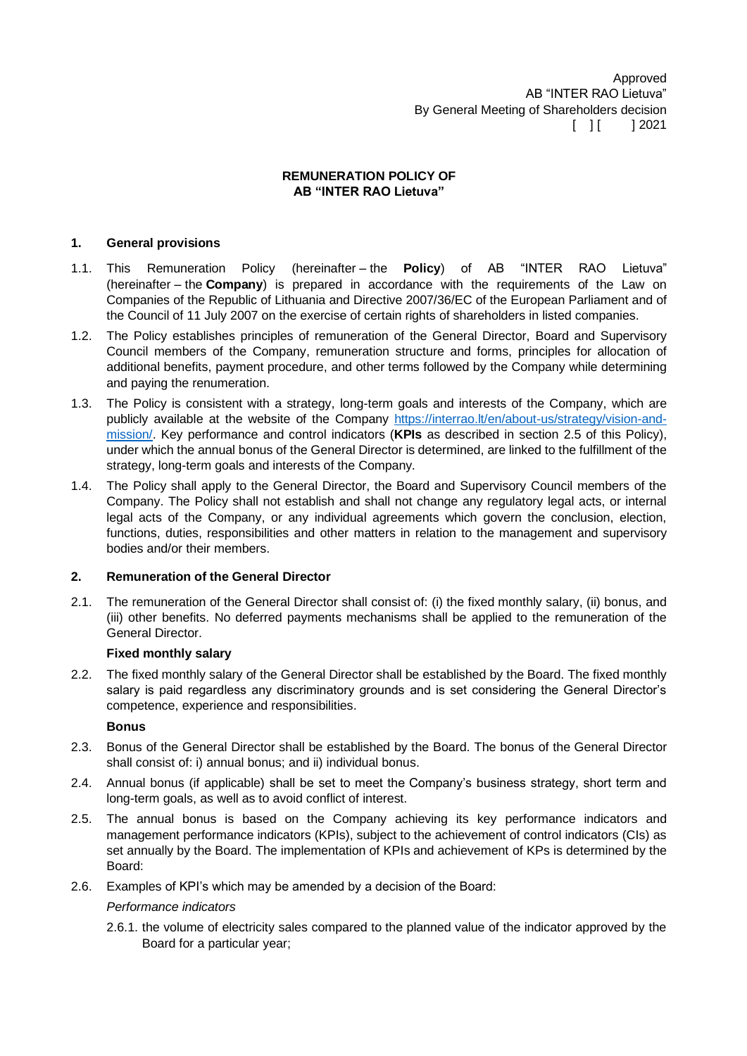Approved AB "INTER RAO Lietuva" By General Meeting of Shareholders decision  $[ ] [ ] 2021$ 

## **REMUNERATION POLICY OF AB "INTER RAO Lietuva"**

# **1. General provisions**

- 1.1. This Remuneration Policy (hereinafter the **Policy**) of AB "INTER RAO Lietuva" (hereinafter – the **Company**) is prepared in accordance with the requirements of the Law on Companies of the Republic of Lithuania and Directive 2007/36/EC of the European Parliament and of the Council of 11 July 2007 on the exercise of certain rights of shareholders in listed companies.
- 1.2. The Policy establishes principles of remuneration of the General Director, Board and Supervisory Council members of the Company, remuneration structure and forms, principles for allocation of additional benefits, payment procedure, and other terms followed by the Company while determining and paying the renumeration.
- 1.3. The Policy is consistent with a strategy, long-term goals and interests of the Company, which are publicly available at the website of the Company [https://interrao.lt/en/about-us/strategy/vision-and](https://interrao.lt/en/about-us/strategy/vision-and-mission/)[mission/.](https://interrao.lt/en/about-us/strategy/vision-and-mission/) Key performance and control indicators (**KPIs** as described in section [2.5](#page-0-0) of this Policy), under which the annual bonus of the General Director is determined, are linked to the fulfillment of the strategy, long-term goals and interests of the Company.
- 1.4. The Policy shall apply to the General Director, the Board and Supervisory Council members of the Company. The Policy shall not establish and shall not change any regulatory legal acts, or internal legal acts of the Company, or any individual agreements which govern the conclusion, election, functions, duties, responsibilities and other matters in relation to the management and supervisory bodies and/or their members.

# **2. Remuneration of the General Director**

2.1. The remuneration of the General Director shall consist of: (i) the fixed monthly salary, (ii) bonus, and (iii) other benefits. No deferred payments mechanisms shall be applied to the remuneration of the General Director.

## **Fixed monthly salary**

2.2. The fixed monthly salary of the General Director shall be established by the Board. The fixed monthly salary is paid regardless any discriminatory grounds and is set considering the General Director's competence, experience and responsibilities.

## **Bonus**

- 2.3. Bonus of the General Director shall be established by the Board. The bonus of the General Director shall consist of: i) annual bonus; and ii) individual bonus.
- 2.4. Annual bonus (if applicable) shall be set to meet the Company's business strategy, short term and long-term goals, as well as to avoid conflict of interest.
- <span id="page-0-0"></span>2.5. The annual bonus is based on the Company achieving its key performance indicators and management performance indicators (KPIs), subject to the achievement of control indicators (CIs) as set annually by the Board. The implementation of KPIs and achievement of KPs is determined by the Board:
- 2.6. Examples of KPI's which may be amended by a decision of the Board:

## *Performance indicators*

2.6.1. the volume of electricity sales compared to the planned value of the indicator approved by the Board for a particular year;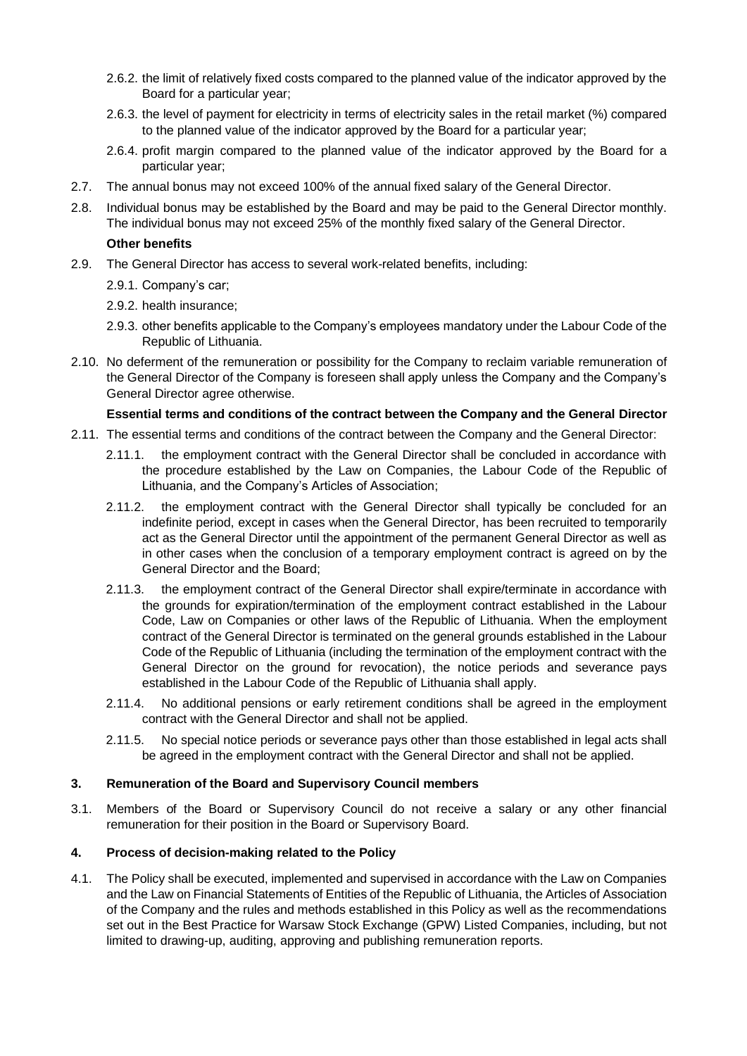- 2.6.2. the limit of relatively fixed costs compared to the planned value of the indicator approved by the Board for a particular year;
- 2.6.3. the level of payment for electricity in terms of electricity sales in the retail market (%) compared to the planned value of the indicator approved by the Board for a particular year;
- 2.6.4. profit margin compared to the planned value of the indicator approved by the Board for a particular year;
- 2.7. The annual bonus may not exceed 100% of the annual fixed salary of the General Director.
- 2.8. Individual bonus may be established by the Board and may be paid to the General Director monthly. The individual bonus may not exceed 25% of the monthly fixed salary of the General Director.

## **Other benefits**

- 2.9. The General Director has access to several work-related benefits, including:
	- 2.9.1. Company's car;
	- 2.9.2. health insurance;
	- 2.9.3. other benefits applicable to the Company's employees mandatory under the Labour Code of the Republic of Lithuania.
- 2.10. No deferment of the remuneration or possibility for the Company to reclaim variable remuneration of the General Director of the Company is foreseen shall apply unless the Company and the Company's General Director agree otherwise.

# **Essential terms and conditions of the contract between the Company and the General Director**

- 2.11. The essential terms and conditions of the contract between the Company and the General Director:
	- 2.11.1. the employment contract with the General Director shall be concluded in accordance with the procedure established by the Law on Companies, the Labour Code of the Republic of Lithuania, and the Company's Articles of Association;
	- 2.11.2. the employment contract with the General Director shall typically be concluded for an indefinite period, except in cases when the General Director, has been recruited to temporarily act as the General Director until the appointment of the permanent General Director as well as in other cases when the conclusion of a temporary employment contract is agreed on by the General Director and the Board;
	- 2.11.3. the employment contract of the General Director shall expire/terminate in accordance with the grounds for expiration/termination of the employment contract established in the Labour Code, Law on Companies or other laws of the Republic of Lithuania. When the employment contract of the General Director is terminated on the general grounds established in the Labour Code of the Republic of Lithuania (including the termination of the employment contract with the General Director on the ground for revocation), the notice periods and severance pays established in the Labour Code of the Republic of Lithuania shall apply.
	- 2.11.4. No additional pensions or early retirement conditions shall be agreed in the employment contract with the General Director and shall not be applied.
	- 2.11.5. No special notice periods or severance pays other than those established in legal acts shall be agreed in the employment contract with the General Director and shall not be applied.

## **3. Remuneration of the Board and Supervisory Council members**

3.1. Members of the Board or Supervisory Council do not receive a salary or any other financial remuneration for their position in the Board or Supervisory Board.

## **4. Process of decision-making related to the Policy**

4.1. The Policy shall be executed, implemented and supervised in accordance with the Law on Companies and the Law on Financial Statements of Entities of the Republic of Lithuania, the Articles of Association of the Company and the rules and methods established in this Policy as well as the recommendations set out in the Best Practice for Warsaw Stock Exchange (GPW) Listed Companies, including, but not limited to drawing-up, auditing, approving and publishing remuneration reports.